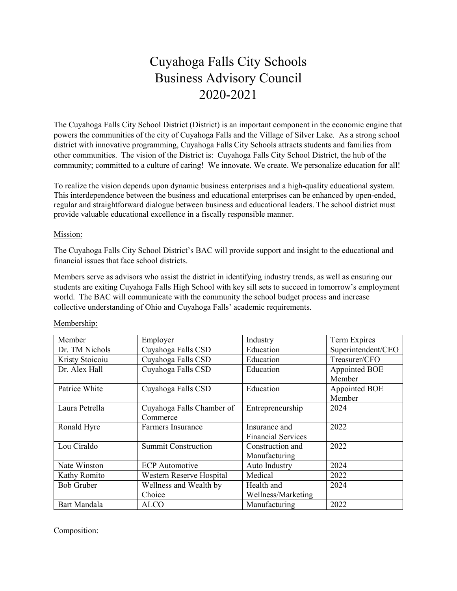# Cuyahoga Falls City Schools Business Advisory Council 2020-2021

The Cuyahoga Falls City School District (District) is an important component in the economic engine that powers the communities of the city of Cuyahoga Falls and the Village of Silver Lake. As a strong school district with innovative programming, Cuyahoga Falls City Schools attracts students and families from other communities. The vision of the District is: Cuyahoga Falls City School District, the hub of the community; committed to a culture of caring! We innovate. We create. We personalize education for all!

To realize the vision depends upon dynamic business enterprises and a high-quality educational system. This interdependence between the business and educational enterprises can be enhanced by open-ended, regular and straightforward dialogue between business and educational leaders. The school district must provide valuable educational excellence in a fiscally responsible manner.

#### Mission:

The Cuyahoga Falls City School District's BAC will provide support and insight to the educational and financial issues that face school districts.

Members serve as advisors who assist the district in identifying industry trends, as well as ensuring our students are exiting Cuyahoga Falls High School with key sill sets to succeed in tomorrow's employment world. The BAC will communicate with the community the school budget process and increase collective understanding of Ohio and Cuyahoga Falls' academic requirements.

| Member            | Employer                   | Industry                  | Term Expires       |
|-------------------|----------------------------|---------------------------|--------------------|
| Dr. TM Nichols    | Cuyahoga Falls CSD         | Education                 | Superintendent/CEO |
| Kristy Stoicoiu   | Cuyahoga Falls CSD         | Education                 | Treasurer/CFO      |
| Dr. Alex Hall     | Cuyahoga Falls CSD         | Education                 | Appointed BOE      |
|                   |                            |                           | Member             |
| Patrice White     | Cuyahoga Falls CSD         | Education                 | Appointed BOE      |
|                   |                            |                           | Member             |
| Laura Petrella    | Cuyahoga Falls Chamber of  | Entrepreneurship          | 2024               |
|                   | Commerce                   |                           |                    |
| Ronald Hyre       | Farmers Insurance          | Insurance and             | 2022               |
|                   |                            | <b>Financial Services</b> |                    |
| Lou Ciraldo       | <b>Summit Construction</b> | Construction and          | 2022               |
|                   |                            | Manufacturing             |                    |
| Nate Winston      | <b>ECP</b> Automotive      | Auto Industry             | 2024               |
| Kathy Romito      | Western Reserve Hospital   | Medical                   | 2022               |
| <b>Bob Gruber</b> | Wellness and Wealth by     | Health and                | 2024               |
|                   | Choice                     | Wellness/Marketing        |                    |
| Bart Mandala      | <b>ALCO</b>                | Manufacturing             | 2022               |

#### Membership:

Composition: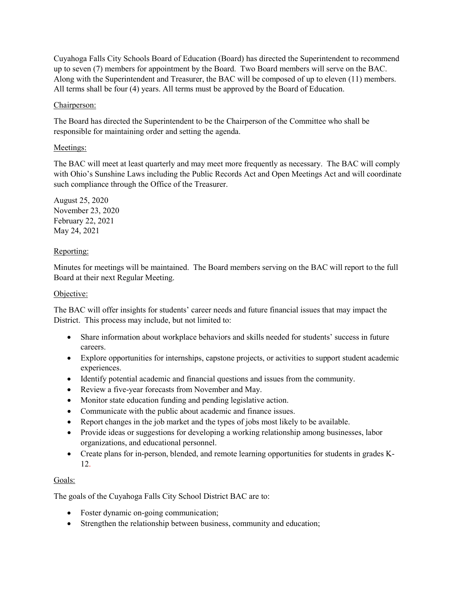Cuyahoga Falls City Schools Board of Education (Board) has directed the Superintendent to recommend up to seven (7) members for appointment by the Board. Two Board members will serve on the BAC. Along with the Superintendent and Treasurer, the BAC will be composed of up to eleven (11) members. All terms shall be four (4) years. All terms must be approved by the Board of Education.

# Chairperson:

The Board has directed the Superintendent to be the Chairperson of the Committee who shall be responsible for maintaining order and setting the agenda.

### Meetings:

The BAC will meet at least quarterly and may meet more frequently as necessary. The BAC will comply with Ohio's Sunshine Laws including the Public Records Act and Open Meetings Act and will coordinate such compliance through the Office of the Treasurer.

August 25, 2020 November 23, 2020 February 22, 2021 May 24, 2021

# Reporting:

Minutes for meetings will be maintained. The Board members serving on the BAC will report to the full Board at their next Regular Meeting.

### Objective:

The BAC will offer insights for students' career needs and future financial issues that may impact the District. This process may include, but not limited to:

- Share information about workplace behaviors and skills needed for students' success in future careers.
- Explore opportunities for internships, capstone projects, or activities to support student academic experiences.
- Identify potential academic and financial questions and issues from the community.
- Review a five-year forecasts from November and May.
- Monitor state education funding and pending legislative action.
- Communicate with the public about academic and finance issues.
- Report changes in the job market and the types of jobs most likely to be available.
- Provide ideas or suggestions for developing a working relationship among businesses, labor organizations, and educational personnel.
- Create plans for in-person, blended, and remote learning opportunities for students in grades K-12.

# Goals:

The goals of the Cuyahoga Falls City School District BAC are to:

- Foster dynamic on-going communication;
- Strengthen the relationship between business, community and education;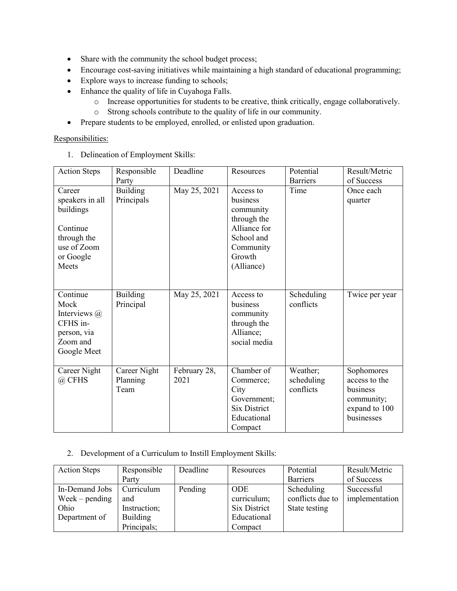- Share with the community the school budget process;
- Encourage cost-saving initiatives while maintaining a high standard of educational programming;
- Explore ways to increase funding to schools;
- Enhance the quality of life in Cuyahoga Falls.
	- o Increase opportunities for students to be creative, think critically, engage collaboratively.
	- o Strong schools contribute to the quality of life in our community.
- Prepare students to be employed, enrolled, or enlisted upon graduation.

#### Responsibilities:

1. Delineation of Employment Skills:

| <b>Action Steps</b>                                                                                    | Responsible                      | Deadline             | Resources                                                                                                            | Potential                           | Result/Metric                                                                        |
|--------------------------------------------------------------------------------------------------------|----------------------------------|----------------------|----------------------------------------------------------------------------------------------------------------------|-------------------------------------|--------------------------------------------------------------------------------------|
|                                                                                                        | Party                            |                      |                                                                                                                      | <b>Barriers</b>                     | of Success                                                                           |
| Career<br>speakers in all<br>buildings<br>Continue<br>through the<br>use of Zoom<br>or Google<br>Meets | <b>Building</b><br>Principals    | May 25, 2021         | Access to<br>business<br>community<br>through the<br>Alliance for<br>School and<br>Community<br>Growth<br>(Alliance) | Time                                | Once each<br>quarter                                                                 |
| Continue<br>Mock<br>Interviews $(a)$<br>CFHS in-<br>person, via<br>Zoom and<br>Google Meet             | Building<br>Principal            | May 25, 2021         | Access to<br>business<br>community<br>through the<br>Alliance;<br>social media                                       | Scheduling<br>conflicts             | Twice per year                                                                       |
| Career Night<br>@ CFHS                                                                                 | Career Night<br>Planning<br>Team | February 28,<br>2021 | Chamber of<br>Commerce;<br>City<br>Government;<br><b>Six District</b><br>Educational<br>Compact                      | Weather;<br>scheduling<br>conflicts | Sophomores<br>access to the<br>business<br>community;<br>expand to 100<br>businesses |

2. Development of a Curriculum to Instill Employment Skills:

| <b>Action Steps</b> | Responsible     | Deadline | Resources    | Potential        | Result/Metric  |
|---------------------|-----------------|----------|--------------|------------------|----------------|
|                     | Party           |          |              | <b>Barriers</b>  | of Success     |
| In-Demand Jobs      | Curriculum      | Pending  | <b>ODE</b>   | Scheduling       | Successful     |
| $Week-pending$      | and             |          | curriculum;  | conflicts due to | implementation |
| Ohio                | Instruction;    |          | Six District | State testing    |                |
| Department of       | <b>Building</b> |          | Educational  |                  |                |
|                     | Principals;     |          | Compact      |                  |                |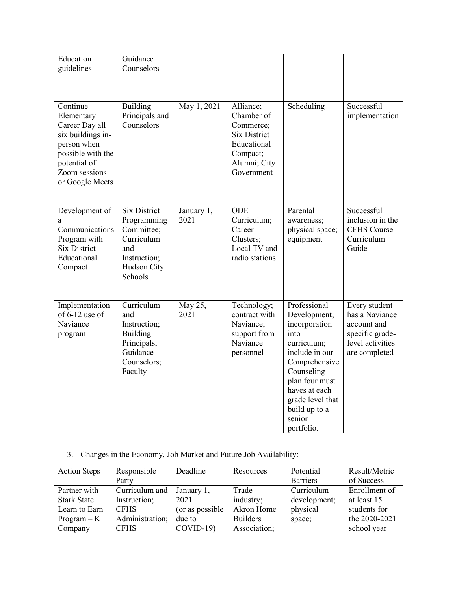| Education<br>guidelines                                                                                                                               | Guidance<br>Counselors                                                                                          |                    |                                                                                                                      |                                                                                                                                                                                                                       |                                                                                                        |
|-------------------------------------------------------------------------------------------------------------------------------------------------------|-----------------------------------------------------------------------------------------------------------------|--------------------|----------------------------------------------------------------------------------------------------------------------|-----------------------------------------------------------------------------------------------------------------------------------------------------------------------------------------------------------------------|--------------------------------------------------------------------------------------------------------|
| Continue<br>Elementary<br>Career Day all<br>six buildings in-<br>person when<br>possible with the<br>potential of<br>Zoom sessions<br>or Google Meets | Building<br>Principals and<br>Counselors                                                                        | May 1, 2021        | Alliance;<br>Chamber of<br>Commerce;<br><b>Six District</b><br>Educational<br>Compact;<br>Alumni; City<br>Government | Scheduling                                                                                                                                                                                                            | Successful<br>implementation                                                                           |
| Development of<br>a<br>Communications<br>Program with<br><b>Six District</b><br>Educational<br>Compact                                                | <b>Six District</b><br>Programming<br>Committee;<br>Curriculum<br>and<br>Instruction;<br>Hudson City<br>Schools | January 1,<br>2021 | ODE<br>Curriculum;<br>Career<br>Clusters;<br>Local TV and<br>radio stations                                          | Parental<br>awareness;<br>physical space;<br>equipment                                                                                                                                                                | Successful<br>inclusion in the<br><b>CFHS Course</b><br>Curriculum<br>Guide                            |
| Implementation<br>of $6-12$ use of<br>Naviance<br>program                                                                                             | Curriculum<br>and<br>Instruction;<br><b>Building</b><br>Principals;<br>Guidance<br>Counselors;<br>Faculty       | May 25,<br>2021    | Technology;<br>contract with<br>Naviance;<br>support from<br>Naviance<br>personnel                                   | Professional<br>Development;<br>incorporation<br>into<br>curriculum;<br>include in our<br>Comprehensive<br>Counseling<br>plan four must<br>haves at each<br>grade level that<br>build up to a<br>senior<br>portfolio. | Every student<br>has a Naviance<br>account and<br>specific grade-<br>level activities<br>are completed |

# 3. Changes in the Economy, Job Market and Future Job Availability:

| <b>Action Steps</b> | Responsible     | Deadline        | Resources       | Potential       | Result/Metric |
|---------------------|-----------------|-----------------|-----------------|-----------------|---------------|
|                     | Party           |                 |                 | <b>Barriers</b> | of Success    |
| Partner with        | Curriculum and  | January 1,      | Trade           | Curriculum      | Enrollment of |
| <b>Stark State</b>  | Instruction;    | 2021            | industry;       | development;    | at least 15   |
| Learn to Earn       | <b>CFHS</b>     | (or as possible | Akron Home      | physical        | students for  |
| $Program - K$       | Administration; | due to          | <b>Builders</b> | space;          | the 2020-2021 |
| Company             | <b>CFHS</b>     | $COVID-19$      | Association;    |                 | school year   |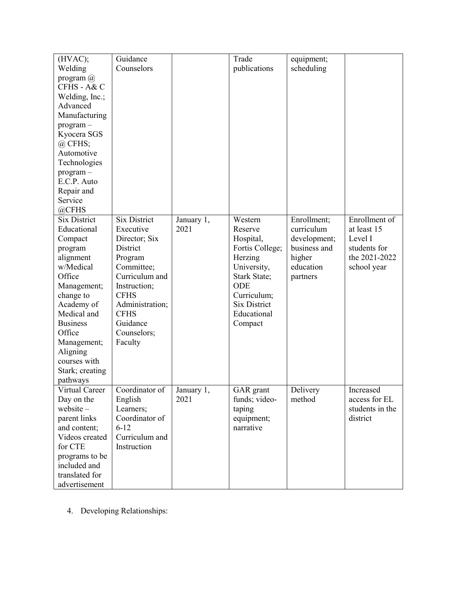| (HVAC);             | Guidance            |            | Trade               | equipment;   |                 |
|---------------------|---------------------|------------|---------------------|--------------|-----------------|
| Welding             | Counselors          |            | publications        | scheduling   |                 |
| program $@$         |                     |            |                     |              |                 |
| CFHS - A& C         |                     |            |                     |              |                 |
| Welding, Inc.;      |                     |            |                     |              |                 |
| Advanced            |                     |            |                     |              |                 |
|                     |                     |            |                     |              |                 |
| Manufacturing       |                     |            |                     |              |                 |
| $program -$         |                     |            |                     |              |                 |
| Kyocera SGS         |                     |            |                     |              |                 |
| $(a)$ CFHS;         |                     |            |                     |              |                 |
| Automotive          |                     |            |                     |              |                 |
| Technologies        |                     |            |                     |              |                 |
| program-            |                     |            |                     |              |                 |
| E.C.P. Auto         |                     |            |                     |              |                 |
| Repair and          |                     |            |                     |              |                 |
| Service             |                     |            |                     |              |                 |
| @CFHS               |                     |            |                     |              |                 |
| <b>Six District</b> | <b>Six District</b> | January 1, | Western             | Enrollment;  | Enrollment of   |
| Educational         | Executive           | 2021       | Reserve             | curriculum   | at least 15     |
| Compact             | Director; Six       |            | Hospital,           | development; | Level I         |
| program             | District            |            | Fortis College;     | business and | students for    |
| alignment           | Program             |            | Herzing             | higher       | the 2021-2022   |
| w/Medical           | Committee;          |            | University,         | education    | school year     |
| Office              | Curriculum and      |            | <b>Stark State;</b> | partners     |                 |
| Management;         | Instruction;        |            | ODE                 |              |                 |
| change to           | <b>CFHS</b>         |            | Curriculum;         |              |                 |
| Academy of          | Administration;     |            | <b>Six District</b> |              |                 |
| Medical and         | <b>CFHS</b>         |            | Educational         |              |                 |
| <b>Business</b>     | Guidance            |            | Compact             |              |                 |
| Office              | Counselors;         |            |                     |              |                 |
| Management;         | Faculty             |            |                     |              |                 |
| Aligning            |                     |            |                     |              |                 |
| courses with        |                     |            |                     |              |                 |
| Stark; creating     |                     |            |                     |              |                 |
| pathways            |                     |            |                     |              |                 |
| Virtual Career      | Coordinator of      | January 1, | GAR grant           | Delivery     | Increased       |
| Day on the          | English             | 2021       | funds; video-       | method       | access for EL   |
| $website -$         | Learners;           |            | taping              |              | students in the |
| parent links        | Coordinator of      |            | equipment;          |              | district        |
| and content;        | $6 - 12$            |            | narrative           |              |                 |
| Videos created      | Curriculum and      |            |                     |              |                 |
| for CTE             | Instruction         |            |                     |              |                 |
|                     |                     |            |                     |              |                 |
| programs to be      |                     |            |                     |              |                 |
| included and        |                     |            |                     |              |                 |
| translated for      |                     |            |                     |              |                 |
| advertisement       |                     |            |                     |              |                 |

4. Developing Relationships: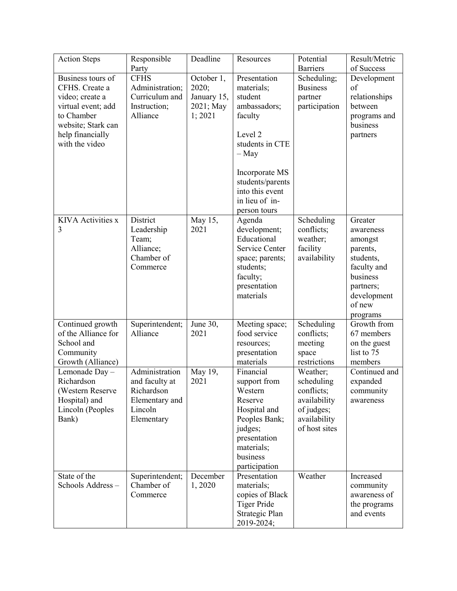| <b>Action Steps</b>      | Responsible     | Deadline    | Resources                 | Potential       | Result/Metric           |
|--------------------------|-----------------|-------------|---------------------------|-----------------|-------------------------|
|                          | Party           |             |                           | <b>Barriers</b> | of Success              |
| Business tours of        | <b>CFHS</b>     | October 1,  | Presentation              | Scheduling;     | Development             |
| CFHS. Create a           | Administration; | 2020;       | materials;                | <b>Business</b> | of                      |
| video; create a          | Curriculum and  | January 15, | student                   | partner         | relationships           |
| virtual event; add       | Instruction;    | 2021; May   | ambassadors;              | participation   | between                 |
| to Chamber               | Alliance        | 1; 2021     | faculty                   |                 | programs and            |
| website; Stark can       |                 |             |                           |                 | business                |
| help financially         |                 |             | Level 2                   |                 | partners                |
| with the video           |                 |             | students in CTE           |                 |                         |
|                          |                 |             | $-$ May                   |                 |                         |
|                          |                 |             |                           |                 |                         |
|                          |                 |             | Incorporate MS            |                 |                         |
|                          |                 |             | students/parents          |                 |                         |
|                          |                 |             | into this event           |                 |                         |
|                          |                 |             | in lieu of in-            |                 |                         |
|                          |                 |             | person tours              |                 |                         |
| <b>KIVA</b> Activities x | District        | May 15,     | Agenda                    | Scheduling      | Greater                 |
| 3                        | Leadership      | 2021        | development;              | conflicts;      | awareness               |
|                          | Team;           |             | Educational               | weather;        | amongst                 |
|                          | Alliance;       |             | Service Center            | facility        | parents,                |
|                          | Chamber of      |             | space; parents;           | availability    | students,               |
|                          | Commerce        |             | students;                 |                 | faculty and<br>business |
|                          |                 |             | faculty;                  |                 |                         |
|                          |                 |             | presentation<br>materials |                 | partners;               |
|                          |                 |             |                           |                 | development<br>of new   |
|                          |                 |             |                           |                 | programs                |
| Continued growth         | Superintendent; | June 30,    | Meeting space;            | Scheduling      | Growth from             |
| of the Alliance for      | Alliance        | 2021        | food service              | conflicts;      | 67 members              |
| School and               |                 |             | resources;                | meeting         | on the guest            |
| Community                |                 |             | presentation              | space           | list to 75              |
| Growth (Alliance)        |                 |             | materials                 | restrictions    | members                 |
| Lemonade Day-            | Administration  | May 19,     | Financial                 | Weather;        | Continued and           |
| Richardson               | and faculty at  | 2021        | support from              | scheduling      | expanded                |
| (Western Reserve         | Richardson      |             | Western                   | conflicts;      | community               |
| Hospital) and            | Elementary and  |             | Reserve                   | availability    | awareness               |
| Lincoln (Peoples         | Lincoln         |             | Hospital and              | of judges;      |                         |
| Bank)                    | Elementary      |             | Peoples Bank;             | availability    |                         |
|                          |                 |             | judges;                   | of host sites   |                         |
|                          |                 |             | presentation              |                 |                         |
|                          |                 |             | materials;                |                 |                         |
|                          |                 |             | business                  |                 |                         |
|                          |                 |             | participation             |                 |                         |
| State of the             | Superintendent; | December    | Presentation              | Weather         | Increased               |
| Schools Address-         | Chamber of      | 1,2020      | materials;                |                 | community               |
|                          | Commerce        |             | copies of Black           |                 | awareness of            |
|                          |                 |             | <b>Tiger Pride</b>        |                 | the programs            |
|                          |                 |             | Strategic Plan            |                 | and events              |
|                          |                 |             | 2019-2024;                |                 |                         |